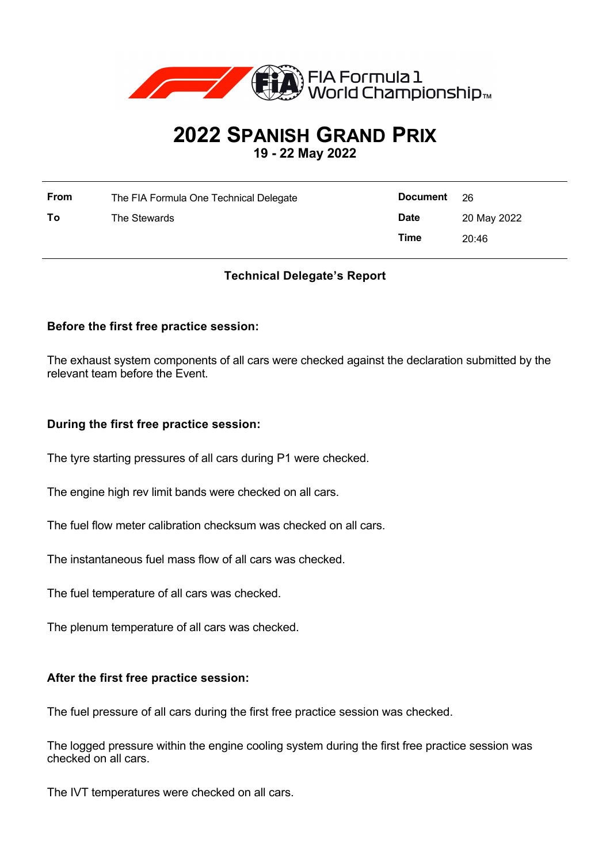

# **2022 SPANISH GRAND PRIX**

**19 - 22 May 2022**

| <b>From</b> | The FIA Formula One Technical Delegate | <b>Document</b> | - 26        |
|-------------|----------------------------------------|-----------------|-------------|
| To          | The Stewards                           | <b>Date</b>     | 20 May 2022 |
|             |                                        | Time            | 20:46       |

## **Technical Delegate's Report**

### **Before the first free practice session:**

The exhaust system components of all cars were checked against the declaration submitted by the relevant team before the Event.

#### **During the first free practice session:**

The tyre starting pressures of all cars during P1 were checked.

The engine high rev limit bands were checked on all cars.

The fuel flow meter calibration checksum was checked on all cars.

The instantaneous fuel mass flow of all cars was checked.

The fuel temperature of all cars was checked.

The plenum temperature of all cars was checked.

#### **After the first free practice session:**

The fuel pressure of all cars during the first free practice session was checked.

The logged pressure within the engine cooling system during the first free practice session was checked on all cars.

The IVT temperatures were checked on all cars.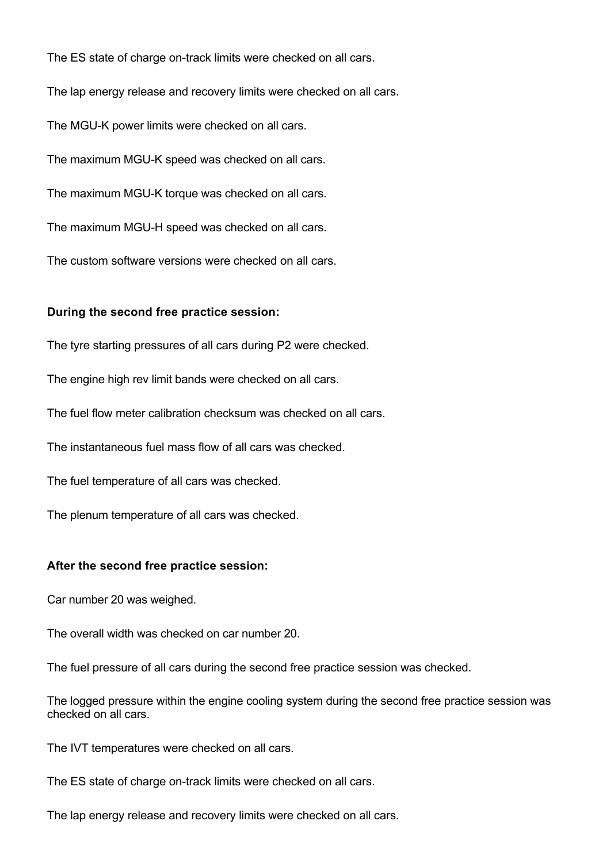The ES state of charge on-track limits were checked on all cars. The lap energy release and recovery limits were checked on all cars. The MGU-K power limits were checked on all cars. The maximum MGU-K speed was checked on all cars. The maximum MGU-K torque was checked on all cars. The maximum MGU-H speed was checked on all cars. The custom software versions were checked on all cars.

#### **During the second free practice session:**

The tyre starting pressures of all cars during P2 were checked.

The engine high rev limit bands were checked on all cars.

The fuel flow meter calibration checksum was checked on all cars.

The instantaneous fuel mass flow of all cars was checked.

The fuel temperature of all cars was checked.

The plenum temperature of all cars was checked.

#### **After the second free practice session:**

Car number 20 was weighed.

The overall width was checked on car number 20.

The fuel pressure of all cars during the second free practice session was checked.

The logged pressure within the engine cooling system during the second free practice session was checked on all cars.

The IVT temperatures were checked on all cars.

The ES state of charge on-track limits were checked on all cars.

The lap energy release and recovery limits were checked on all cars.